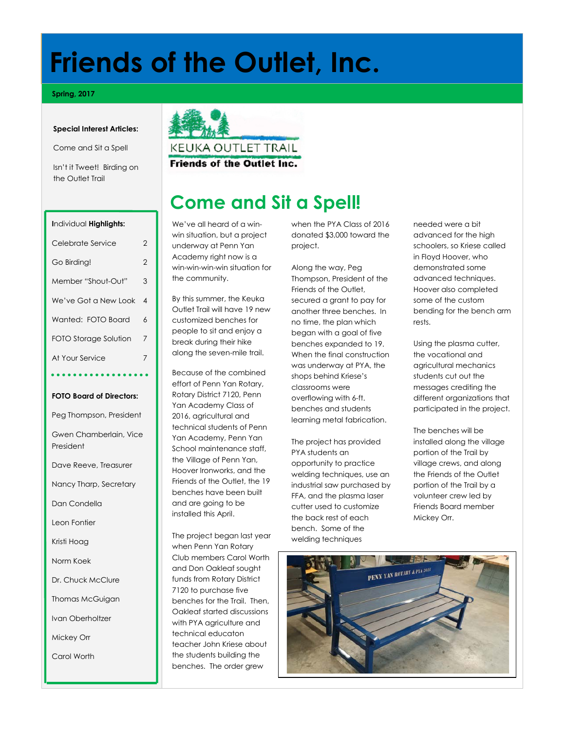# **Friends of the Outlet, Inc.**

#### **Spring, 2017**

#### **Special Interest Articles:**

Come and Sit a Spell

Isn't it Tweet! Birding on the Outlet Trail



#### KEUKA OUTLET TRAIL

**Friends of the Outlet Inc.** 

### **Come and Sit a Spell!**

We've all heard of a winwin situation, but a project underway at Penn Yan Academy right now is a win-win-win-win situation for the community.

By this summer, the Keuka Outlet Trail will have 19 new customized benches for people to sit and enjoy a break during their hike along the seven-mile trail.

Because of the combined effort of Penn Yan Rotary, Rotary District 7120, Penn Yan Academy Class of 2016, agricultural and technical students of Penn Yan Academy, Penn Yan School maintenance staff, the Village of Penn Yan, Hoover Ironworks, and the Friends of the Outlet, the 19 benches have been built and are going to be installed this April.

The project began last year when Penn Yan Rotary Club members Carol Worth and Don Oakleaf sought funds from Rotary District 7120 to purchase five benches for the Trail. Then, Oakleaf started discussions with PYA agriculture and technical educaton teacher John Kriese about the students building the benches. The order grew

when the PYA Class of 2016 donated \$3,000 toward the project.

Along the way, Peg Thompson, President of the Friends of the Outlet, secured a grant to pay for another three benches. In no time, the plan which began with a goal of five benches expanded to 19. When the final construction was underway at PYA, the shops behind Kriese's classrooms were overflowing with 6-ft. benches and students learning metal fabrication.

The project has provided PYA students an opportunity to practice welding techniques, use an industrial saw purchased by FFA, and the plasma laser cutter used to customize the back rest of each bench. Some of the welding techniques

needed were a bit advanced for the high schoolers, so Kriese called in Floyd Hoover, who demonstrated some advanced techniques. Hoover also completed some of the custom bending for the bench arm rests.

Using the plasma cutter, the vocational and agricultural mechanics students cut out the messages crediting the different organizations that participated in the project.

The benches will be installed along the village portion of the Trail by village crews, and along the Friends of the Outlet portion of the Trail by a volunteer crew led by Friends Board member Mickey Orr.



#### **I**ndividual **Highlights:**

| Celebrate Service     | $\overline{2}$ |
|-----------------------|----------------|
| Go Birding!           | $\overline{2}$ |
| Member "Shout-Out"    | 3              |
| We've Got a New Look  | 4              |
| Wanted: FOTO Board    | 6              |
| FOTO Storage Solution | 7              |
| At Your Service       | 7              |
|                       |                |

#### **FOTO Board of Directors:**

Peg Thompson, President

Gwen Chamberlain, Vice President

Dave Reeve, Treasurer

Nancy Tharp, Secretary

Dan Condella

Leon Fontier

Kristi Hoag

Norm Koek

Dr. Chuck McClure

Thomas McGuigan

Ivan Oberholtzer

Mickey Orr

Carol Worth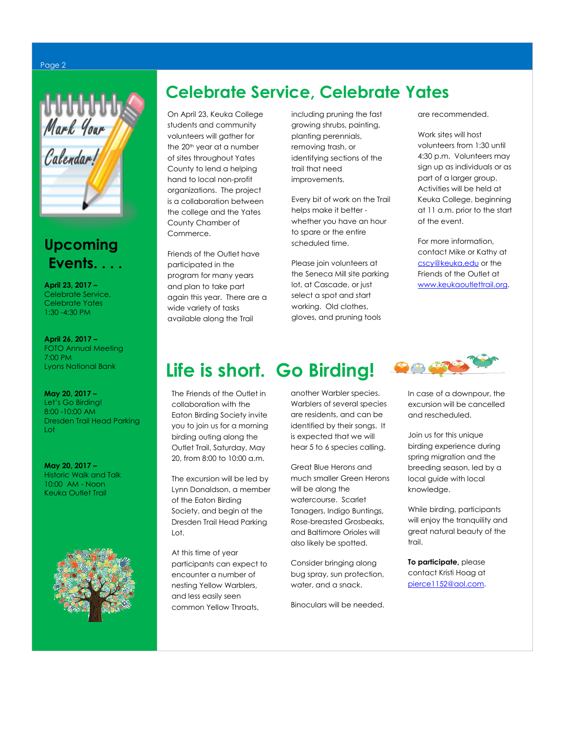### **Celebrate Service, Celebrate Yates**

On April 23, Keuka College students and community volunteers will gather for the 20<sup>th</sup> year at a number of sites throughout Yates County to lend a helping hand to local non-profit organizations. The project is a collaboration between the college and the Yates County Chamber of Commerce.

Friends of the Outlet have participated in the program for many years and plan to take part again this year. There are a wide variety of tasks available along the Trail

including pruning the fast growing shrubs, painting, planting perennials, removing trash, or identifying sections of the trail that need improvements.

Every bit of work on the Trail helps make it better whether you have an hour to spare or the entire scheduled time.

Please join volunteers at the Seneca Mill site parking lot, at Cascade, or just select a spot and start working. Old clothes, gloves, and pruning tools

are recommended.

Work sites will host volunteers from 1:30 until 4:30 p.m. Volunteers may sign up as individuals or as part of a larger group. Activities will be held at Keuka College, beginning at 11 a.m. prior to the start of the event.

For more information, contact Mike or Kathy at [cscy@keuka.edu](mailto:cscy@keuka.edu) or the Friends of the Outlet at [www.keukaoutlettrail.org.](http://www.keukaoutlettrail.org/)

### **Life is short. Go Birding!**

The Friends of the Outlet in collaboration with the Eaton Birding Society invite you to join us for a morning birding outing along the Outlet Trail, Saturday, May 20, from 8:00 to 10:00 a.m.

The excursion will be led by Lynn Donaldson, a member of the Eaton Birding Society, and begin at the Dresden Trail Head Parking Lot.

At this time of year participants can expect to encounter a number of nesting Yellow Warblers, and less easily seen common Yellow Throats,

another Warbler species. Warblers of several species are residents, and can be identified by their songs. It is expected that we will hear 5 to 6 species calling.

Great Blue Herons and much smaller Green Herons will be along the watercourse. Scarlet Tanagers, Indigo Buntings, Rose-breasted Grosbeaks, and Baltimore Orioles will also likely be spotted.

Consider bringing along bug spray, sun protection, water, and a snack.

Binoculars will be needed.



In case of a downpour, the excursion will be cancelled and rescheduled.

Join us for this unique birding experience during spring migration and the breeding season, led by a local guide with local knowledge.

While birding, participants will enjoy the tranquility and great natural beauty of the trail.

**To participate,** please contact Kristi Hoag at [pierce1152@aol.com.](mailto:pierce1152@aol.com) 

### Page 2



### **Upcoming Events. . . .**

**April 23, 2017 –**  Celebrate Service, Celebrate Yates 1:30 -4:30 PM

**April 26, 2017 –**  FOTO Annual Meeting 7:00 PM Lyons National Bank

**May 20, 2017 –**  Let's Go Birding! 8:00 -10:00 AM Dresden Trail Head Parking Lot

**May 20, 2017 –**  Historic Walk and Talk 10:00 AM - Noon Keuka Outlet Trail

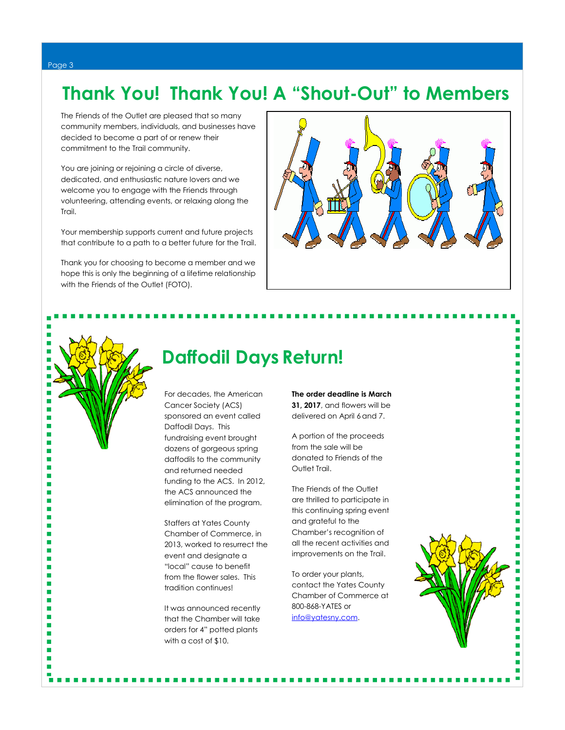### **Thank You! Thank You! A "Shout-Out" to Members**

The Friends of the Outlet are pleased that so many community members, individuals, and businesses have decided to become a part of or renew their commitment to the Trail community.

You are joining or rejoining a circle of diverse, dedicated, and enthusiastic nature lovers and we welcome you to engage with the Friends through volunteering, attending events, or relaxing along the Trail.

Your membership supports current and future projects that contribute to a path to a better future for the Trail.

Thank you for choosing to become a member and we hope this is only the beginning of a lifetime relationship with the Friends of the Outlet (FOTO).





п

п

п

п п п п п

> п п п

### **Daffodil Days Return!**

For decades, the American Cancer Society (ACS) sponsored an event called Daffodil Days. This fundraising event brought dozens of gorgeous spring daffodils to the community and returned needed funding to the ACS. In 2012, the ACS announced the elimination of the program.

Staffers at Yates County Chamber of Commerce, in 2013, worked to resurrect the event and designate a "local" cause to benefit from the flower sales. This tradition continues!

It was announced recently that the Chamber will take orders for 4" potted plants with a cost of \$10.

**The order deadline is March 31, 2017**, and flowers will be delivered on April 6and 7.

A portion of the proceeds from the sale will be donated to Friends of the Outlet Trail.

The Friends of the Outlet are thrilled to participate in this continuing spring event and grateful to the Chamber's recognition of all the recent activities and improvements on the Trail.

To order your plants, contact the Yates County Chamber of Commerce at 800-868-YATES or [info@yatesny.com.](mailto:info@yatesny.com)



۳ п Ē, г Ė п Ė ٠ Ē,

> г ٠

Ė

×,

۳

Ė ۳

г г

Ė П Ē,

г

г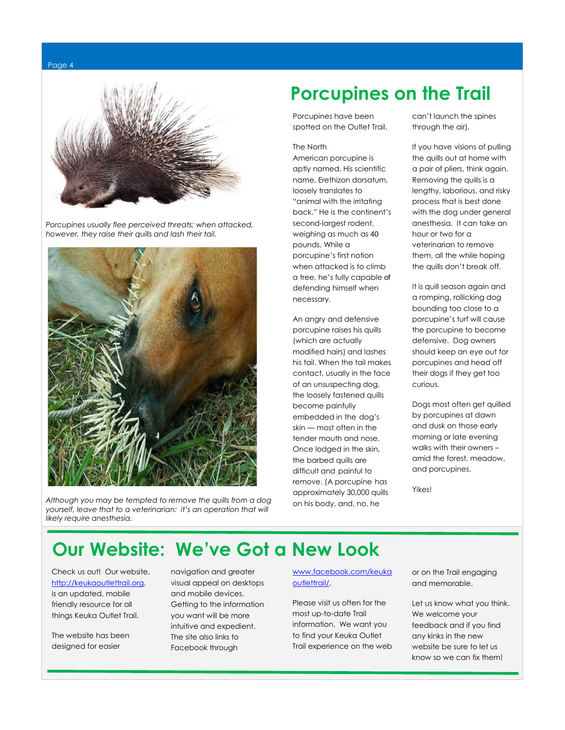



 *Porcupines usually flee perceived threats; when attacked, however, they raise their quills and lash their tail.*



 *Although you may be tempted to remove the quills from a dog yourself, leave that to a veterinarian: it's an operation that will likely require anesthesia.*

### **Porcupines on the Trail**

Porcupines have been spotted on the Outlet Trail.

#### The North

American [porcupine](http://dogtime.com/top-10-animals-that-attack-pets.html) is aptly named. His scientific name, Erethizon dorsatum, loosely translates to "animal with the irritating back." He is the continent's second-largest [rodent,](http://en.wikipedia.org/wiki/Rodent) weighing as much as 40 pounds. While a porcupine's first notion when attacked is to climb a tree, he's fully capable of defending himself when necessary.

An angry and defensive porcupine raises his quills (which are actually modified hairs) and lashes his tail. When the tail makes contact, usually in the face of an unsuspecting dog, the loosely fastened quills become painfully embedded in the dog's skin — most often in the tender mouth and nose. Once lodged in the skin, the barbed quills are difficult and painful to remove. (A porcupine has approximately 30,000 quills on his body, and, no, he

can't launch the spines through the air).

If you have visions of pulling the quills out at home with a pair of pliers, think again. Removing the quills is a lengthy, laborious, and risky process that is best done with the dog under general anesthesia. It can take an hour or two for a veterinarian to remove them, all the while hoping the quills don't break off.

It is quill season again and a romping, rollicking dog bounding too close to a porcupine's turf will cause the porcupine to become defensive. Dog owners should keep an eye out for porcupines and head off their dogs if they get too curious.

Dogs most often get quilled by porcupines at dawn and dusk on those early morning or late evening walks with their owners – amid the forest, meadow, and porcupines.

Yikes!

### **Our Website: We've Got a New Look**

Check us out! Our website, [http://keukaoutlettrail.org,](http://keukaoutlettrail.org/) is an updated, mobile friendly resource for all things Keuka Outlet Trail.

The website has been designed for easier

navigation and greater visual appeal on desktops and mobile devices. Getting to the information you want will be more intuitive and expedient. The site also links to Facebook through

[www.facebook.com/keuka](http://www.facebook.com/keukaoutlettrail/) [outlettrail/.](http://www.facebook.com/keukaoutlettrail/)

Please visit us often for the most up-to-date Trail information. We want you to find your Keuka Outlet Trail experience on the web or on the Trail engaging and memorable.

Let us know what you think. We welcome your feedback and if you find any kinks in the new website be sure to let us know so we can fix them!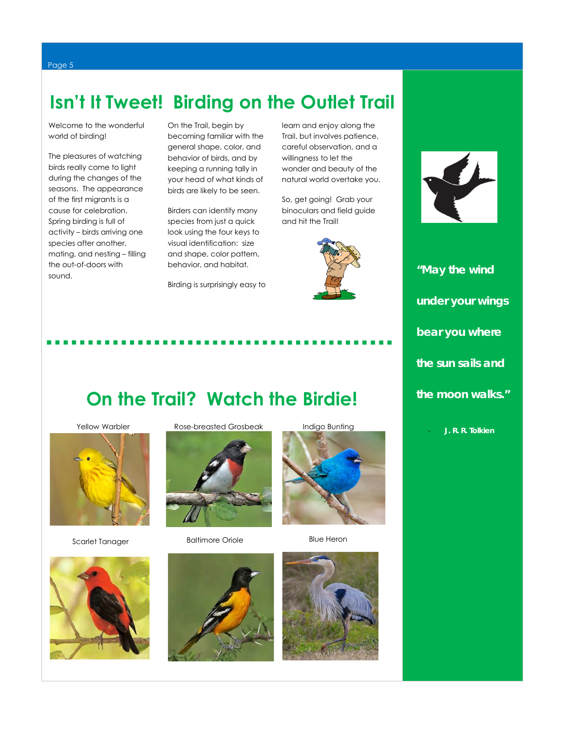### **Isn't It Tweet! Birding on the Outlet Trail**

Welcome to the wonderful world of birding!

The pleasures of watching birds really come to light during the changes of the seasons. The appearance of the first migrants is a cause for celebration. Spring birding is full of activity – birds arriving one species after another, mating, and nesting – filling the out-of-doors with sound.

On the Trail, begin by becoming familiar with the general shape, color, and behavior of birds, and by keeping a running tally in your head of what kinds of birds are likely to be seen.

Birders can identify many species from just a quick look using the four keys to visual identification: size and shape, color pattern, behavior, and habitat.

Birding is surprisingly easy to

learn and enjoy along the Trail, but involves patience, careful observation, and a willingness to let the wonder and beauty of the natural world overtake you.

So, get going! Grab your binoculars and field guide and hit the Trail!





*"May the wind under your wings bear you where the sun sails and the moon walks."* 

- *J. R. R. Tolkien*

### **On the Trail? Watch the Birdie!**



Scarlet Tanager



Yellow Warbler Rose-breasted Grosbeak



Baltimore Oriole



Blue Heron



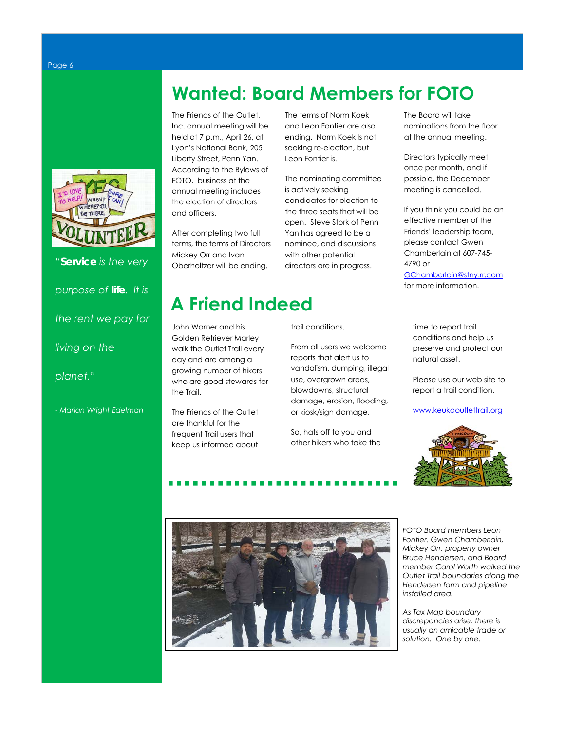*"Service is the very purpose of life. It is the rent we pay for living on the planet."* 

*- Marian Wright Edelman*

### **Wanted: Board Members for FOTO**

The Friends of the Outlet, Inc. annual meeting will be held at 7 p.m., April 26, at Lyon's National Bank, 205 Liberty Street, Penn Yan. According to the Bylaws of FOTO, business at the annual meeting includes the election of directors and officers.

After completing two full terms, the terms of Directors Mickey Orr and Ivan Oberholtzer will be ending.

The terms of Norm Koek and Leon Fontier are also ending. Norm Koek Is not seeking re-election, but Leon Fontier is.

The nominating committee is actively seeking candidates for election to the three seats that will be open. Steve Stork of Penn Yan has agreed to be a nominee, and discussions with other potential directors are in progress.

## **A Friend Indeed**

John Warner and his Golden Retriever Marley walk the Outlet Trail every day and are among a growing number of hikers who are good stewards for the Trail.

The Friends of the Outlet are thankful for the frequent Trail users that keep us informed about trail conditions.

From all users we welcome reports that alert us to vandalism, dumping, illegal use, overgrown areas, blowdowns, structural damage, erosion, flooding, or kiosk/sign damage.

So, hats off to you and other hikers who take the

The Board will take nominations from the floor at the annual meeting.

Directors typically meet once per month, and if possible, the December meeting is cancelled.

If you think you could be an effective member of the Friends' leadership team, please contact Gwen Chamberlain at 607-745- 4790 or

[GChamberlain@stny.rr.com](mailto:GChamberlain@stny.rr.com) for more information.

time to report trail conditions and help us preserve and protect our natural asset.

Please use our web site to report a trail condition.

[www.keukaoutlettrail.org](http://www.keukaoutlettrail.org/)





*FOTO Board members Leon Fontier. Gwen Chamberlain, Mickey Orr, property owner Bruce Hendersen, and Board member Carol Worth walked the Outlet Trail boundaries along the Hendersen farm and pipeline installed area.* 

*As Tax Map boundary discrepancies arise, there is usually an amicable trade or solution. One by one.*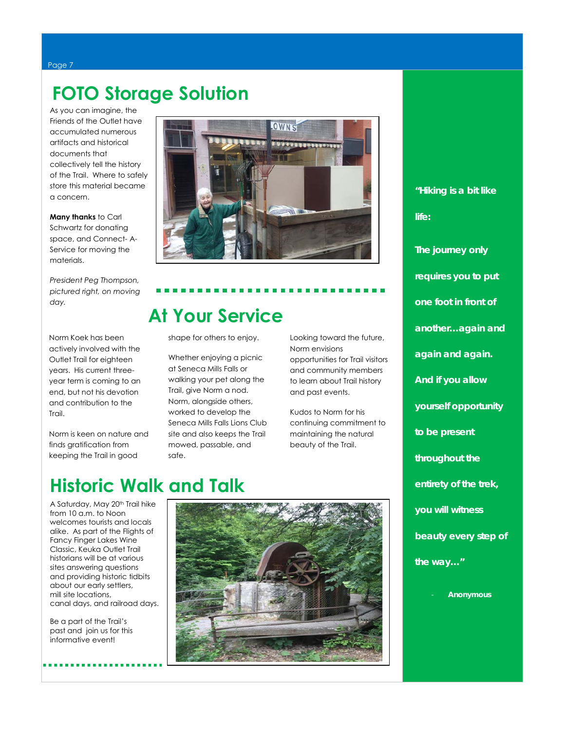#### Page 7

### **FOTO Storage Solution**

As you can imagine, the Friends of the Outlet have accumulated numerous artifacts and historical documents that collectively tell the history of the Trail. Where to safely store this material became a concern.

**Many thanks** to Carl Schwartz for donating space, and Connect- A-Service for moving the materials.

*President Peg Thompson, pictured right, on moving day.*

Norm Koek has been actively involved with the Outlet Trail for eighteen years. His current threeyear term is coming to an end, but not his devotion and contribution to the Trail.

Norm is keen on nature and finds gratification from keeping the Trail in good



## **At Your Service**

shape for others to enjoy.

Whether enjoying a picnic at Seneca Mills Falls or walking your pet along the Trail, give Norm a nod. Norm, alongside others, worked to develop the Seneca Mills Falls Lions Club site and also keeps the Trail mowed, passable, and safe.

Looking toward the future, Norm envisions opportunities for Trail visitors and community members to learn about Trail history and past events.

Kudos to Norm for his continuing commitment to maintaining the natural beauty of the Trail.

### **Historic Walk and Talk**

 A Saturday, May 20th Trail hike from 10 a.m. to Noon welcomes tourists and locals alike. As part of the Flights of Fancy Finger Lakes Wine Classic, Keuka Outlet Trail historians will be at various sites answering questions and providing historic tidbits about our early settlers, mill site locations, canal days, and railroad days.

 Be a part of the Trail's past and join us for this informative event!



*"Hiking is a bit like life: The journey only requires you to put one foot in front of another…again and again and again. And if you allow yourself opportunity to be present throughout the entirety of the trek,* 

*you will witness* 

*beauty every step of* 

*the way…"*

- *Anonymous*